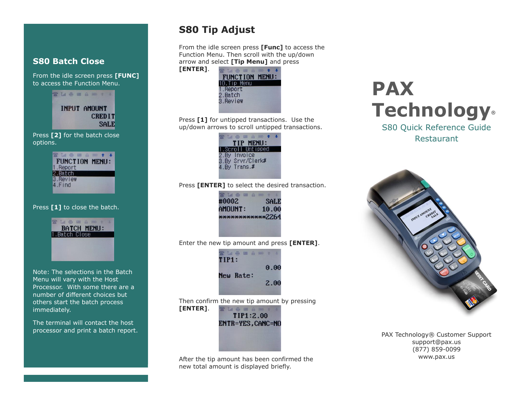#### **S80 Batch Close**

From the idle screen press **[FUNC]** to access the Function Menu.

> SM & B & B + 1 INPUT AMOUNT **CREDIT SALE**

Press **[2]** for the batch close options.

| FUNCTION MENU: |  |  |
|----------------|--|--|
| 1.Report       |  |  |
| 2.Batch        |  |  |
| 3. Review      |  |  |
| 4.Find         |  |  |
|                |  |  |

Press **[1]** to close the batch.



Note: The selections in the Batch Menu will vary with the Host Processor. With some there are a number of different choices but others start the batch process immediately.

The terminal will contact the host processor and print a batch report.

# **S80 Tip Adjust**

From the idle screen press **[Func]** to access the Function Menu. Then scroll with the up/down arrow and select **[Tip Menu]** and press



Press **[1]** for untipped transactions. Use the up/down arrows to scroll untipped transactions.



Press **[ENTER]** to select the desired transaction.



Enter the new tip amount and press **[ENTER]**.



Then confirm the new tip amount by pressing

**[ENTER]**. **THANA** TIP1:2.00 ENTR=YES, CANC=NO

After the tip amount has been confirmed the new total amount is displayed briefly.

# **PAX Technology®**

S80 Quick Reference Guide Restaurant



PAX Technology® Customer Support support@pax.us (877) 859-0099 www.pax.us